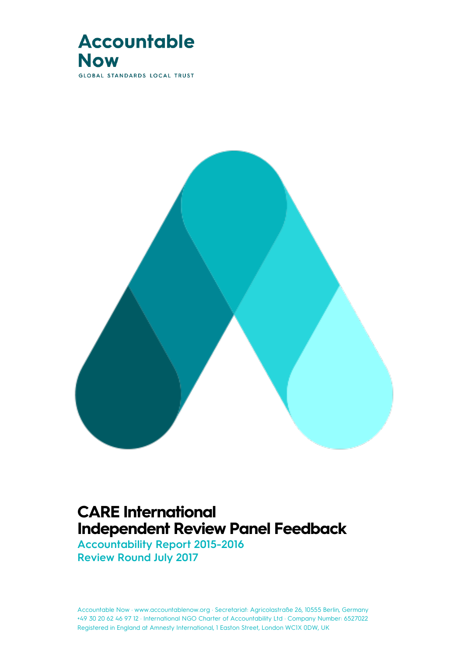

**GLOBAL STANDARDS LOCAL TRUST** 



### **CARE International Independent Review Panel Feedback**

**Accountability Report 2015-2016 Review Round July 2017**

Accountable Now · www.accountablenow.org · Secretariat: Agricolastraße 26, 10555 Berlin, Germany<br>— +49 30 20 62 46 97 12 · International NGO Charter of Accountability Ltd · Company Number: 6527022 Registered in England at Amnesty International, 1 Easton Street, London WC1X 0DW, UK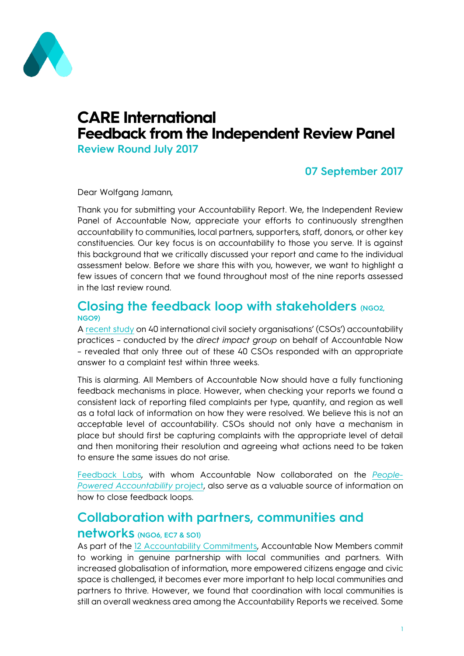

# **CARE International Feedback from the Independent Review Panel**

**Review Round July 2017**

### **07 September 2017**

Dear Wolfgang Jamann,

Thank you for submitting your Accountability Report. We, the Independent Review Panel of Accountable Now, appreciate your efforts to continuously strengthen accountability to communities, local partners, supporters, staff, donors, or other key constituencies. Our key focus is on accountability to those you serve. It is against this background that we critically discussed your report and came to the individual assessment below. Before we share this with you, however, we want to highlight a few issues of concern that we found throughout most of the nine reports assessed in the last review round.

#### **Closing the feedback loop with stakeholders (NGO2, NGO9)**

A [recent study](http://accountablenow.org/wp-content/uploads/2017/01/Survey-on-the-Excellence-of-CSO-Accountability_June-2016.pdf) on 40 international civil society organisations' (CSOs') accountability practices – conducted by the *direct impact group* on behalf of Accountable Now – revealed that only three out of these 40 CSOs responded with an appropriate answer to a complaint test within three weeks.

This is alarming. All Members of Accountable Now should have a fully functioning feedback mechanisms in place. However, when checking your reports we found a consistent lack of reporting filed complaints per type, quantity, and region as well as a total lack of information on how they were resolved. We believe this is not an acceptable level of accountability. CSOs should not only have a mechanism in place but should first be capturing complaints with the appropriate level of detail and then monitoring their resolution and agreeing what actions need to be taken to ensure the same issues do not arise.

[Feedback Labs,](http://feedbacklabs.org/) with whom Accountable Now collaborated on the *[People-](https://accountablenow.org/future-accountability/people-powered-decision-making/)[Powered Accountability](https://accountablenow.org/future-accountability/people-powered-decision-making/)* project, also serve as a valuable source of information on how to close feedback loops.

### **Collaboration with partners, communities and**

#### **networks (NGO6, EC7 & SO1)**

As part of the 12 [Accountability Commitments,](http://accountablenow.org/accountability-in-practice/our-accountability-commitments/) Accountable Now Members commit to working in genuine partnership with local communities and partners. With increased globalisation of information, more empowered citizens engage and civic space is challenged, it becomes ever more important to help local communities and partners to thrive. However, we found that coordination with local communities is still an overall weakness area among the Accountability Reports we received. Some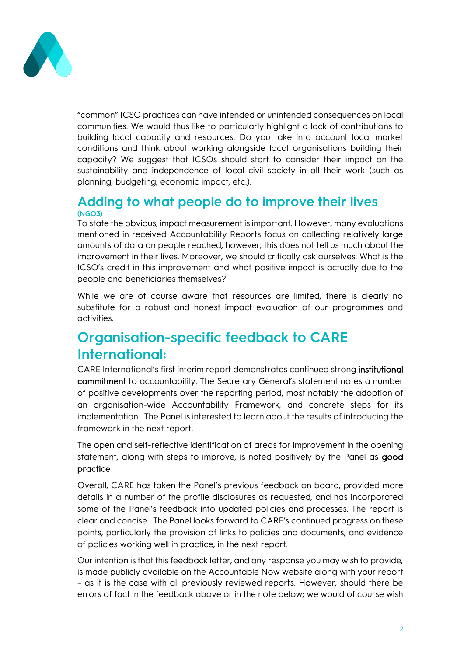

"common" ICSO practices can have intended or unintended consequences on local communities. We would thus like to particularly highlight a lack of contributions to building local capacity and resources. Do you take into account local market conditions and think about working alongside local organisations building their capacity? We suggest that ICSOs should start to consider their impact on the sustainability and independence of local civil society in all their work (such as planning, budgeting, economic impact, etc.).

### **Adding to what people do to improve their lives (NGO3)**

To state the obvious, impact measurement is important. However, many evaluations mentioned in received Accountability Reports focus on collecting relatively large amounts of data on people reached, however, this does not tell us much about the improvement in their lives. Moreover, we should critically ask ourselves: What is the ICSO's credit in this improvement and what positive impact is actually due to the people and beneficiaries themselves?

While we are of course aware that resources are limited, there is clearly no substitute for a robust and honest impact evaluation of our programmes and activities.

### **Organisation-specific feedback to CARE International:**

CARE International's first interim report demonstrates continued strong institutional commitment to accountability. The Secretary General's statement notes a number of positive developments over the reporting period, most notably the adoption of an organisation-wide Accountability Framework, and concrete steps for its implementation. The Panel is interested to learn about the results of introducing the framework in the next report.

The open and self-reflective identification of areas for improvement in the opening statement, along with steps to improve, is noted positively by the Panel as good practice.

Overall, CARE has taken the Panel's previous feedback on board, provided more details in a number of the profile disclosures as requested, and has incorporated some of the Panel's feedback into updated policies and processes. The report is clear and concise. The Panel looks forward to CARE's continued progress on these points, particularly the provision of links to policies and documents, and evidence of policies working well in practice, in the next report.

Our intention is that this feedback letter, and any response you may wish to provide, is made publicly available on the Accountable Now website along with your report – as it is the case with all previously reviewed reports. However, should there be errors of fact in the feedback above or in the note below; we would of course wish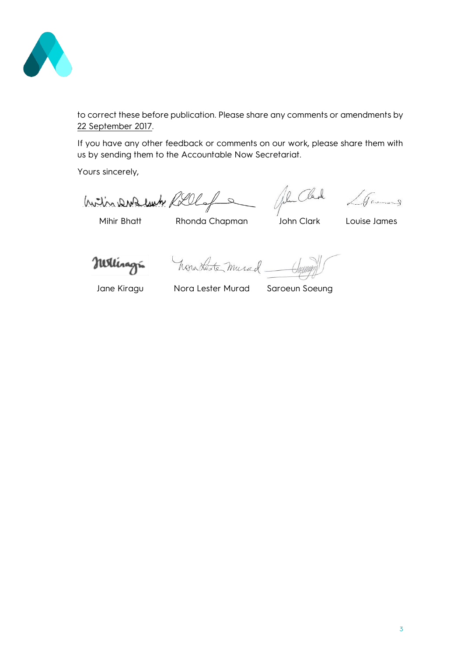

to correct these before publication. Please share any comments or amendments by 22 September 2017.

If you have any other feedback or comments on our work, please share them with us by sending them to the Accountable Now Secretariat.

Yours sincerely,

1 1 D D Luck Clark 10 James With DW3 luch Rollofs

Nellinagri

hora Lester murad

Jane Kiragu Nora Lester Murad Saroeun Soeung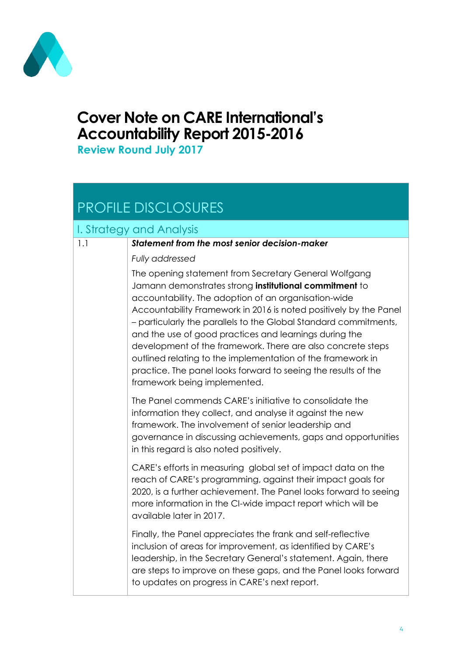

# **Cover Note on CARE International's Accountability Report 2015-2016**

**Review Round July 2017**

# PROFILE DISCLOSURES

### I. Strategy and Analysis

#### 1.1 *Statement from the most senior decision-maker*

*Fully addressed*

The opening statement from Secretary General Wolfgang Jamann demonstrates strong **institutional commitment** to accountability. The adoption of an organisation-wide Accountability Framework in 2016 is noted positively by the Panel – particularly the parallels to the Global Standard commitments, and the use of good practices and learnings during the development of the framework. There are also concrete steps outlined relating to the implementation of the framework in practice. The panel looks forward to seeing the results of the framework being implemented.

The Panel commends CARE's initiative to consolidate the information they collect, and analyse it against the new framework. The involvement of senior leadership and governance in discussing achievements, gaps and opportunities in this regard is also noted positively.

CARE's efforts in measuring global set of impact data on the reach of CARE's programming, against their impact goals for 2020, is a further achievement. The Panel looks forward to seeing more information in the CI-wide impact report which will be available later in 2017.

Finally, the Panel appreciates the frank and self-reflective inclusion of areas for improvement, as identified by CARE's leadership, in the Secretary General's statement. Again, there are steps to improve on these gaps, and the Panel looks forward to updates on progress in CARE's next report.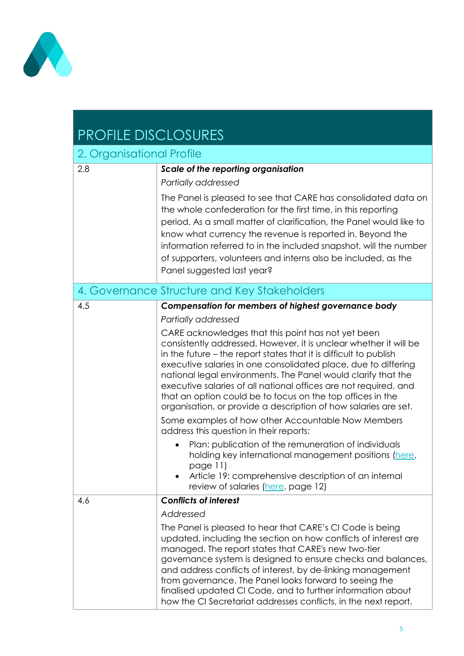

# PROFILE DISCLOSURES

| 2. Organisational Profile                    |                                                                                                                                                                                                                                                                                                                                                                                                                                                                                                                                      |  |
|----------------------------------------------|--------------------------------------------------------------------------------------------------------------------------------------------------------------------------------------------------------------------------------------------------------------------------------------------------------------------------------------------------------------------------------------------------------------------------------------------------------------------------------------------------------------------------------------|--|
| 2.8                                          | Scale of the reporting organisation                                                                                                                                                                                                                                                                                                                                                                                                                                                                                                  |  |
|                                              | Partially addressed                                                                                                                                                                                                                                                                                                                                                                                                                                                                                                                  |  |
|                                              | The Panel is pleased to see that CARE has consolidated data on<br>the whole confederation for the first time, in this reporting<br>period. As a small matter of clarification, the Panel would like to<br>know what currency the revenue is reported in. Beyond the<br>information referred to in the included snapshot, will the number<br>of supporters, volunteers and interns also be included, as the<br>Panel suggested last year?                                                                                             |  |
| 4. Governance Structure and Key Stakeholders |                                                                                                                                                                                                                                                                                                                                                                                                                                                                                                                                      |  |
| 4.5                                          | Compensation for members of highest governance body                                                                                                                                                                                                                                                                                                                                                                                                                                                                                  |  |
|                                              | Partially addressed                                                                                                                                                                                                                                                                                                                                                                                                                                                                                                                  |  |
|                                              | CARE acknowledges that this point has not yet been<br>consistently addressed. However, it is unclear whether it will be<br>in the future – the report states that it is difficult to publish<br>executive salaries in one consolidated place, due to differing<br>national legal environments. The Panel would clarify that the<br>executive salaries of all national offices are not required, and<br>that an option could be to focus on the top offices in the<br>organisation, or provide a description of how salaries are set. |  |
|                                              | Some examples of how other Accountable Now Members<br>address this question in their reports:                                                                                                                                                                                                                                                                                                                                                                                                                                        |  |
|                                              | Plan: publication of the remuneration of individuals<br>holding key international management positions (here,<br>page 11)<br>Article 19: comprehensive description of an internal<br>review of salaries (here, page 12)                                                                                                                                                                                                                                                                                                              |  |
| 4.6                                          | <b>Conflicts of interest</b>                                                                                                                                                                                                                                                                                                                                                                                                                                                                                                         |  |
|                                              | Addressed                                                                                                                                                                                                                                                                                                                                                                                                                                                                                                                            |  |
|                                              | The Panel is pleased to hear that CARE's CI Code is being<br>updated, including the section on how conflicts of interest are<br>managed. The report states that CARE's new two-tier<br>governance system is designed to ensure checks and balances,<br>and address conflicts of interest, by de-linking management<br>from governance. The Panel looks forward to seeing the<br>finalised updated CI Code, and to further information about<br>how the CI Secretariat addresses conflicts, in the next report.                       |  |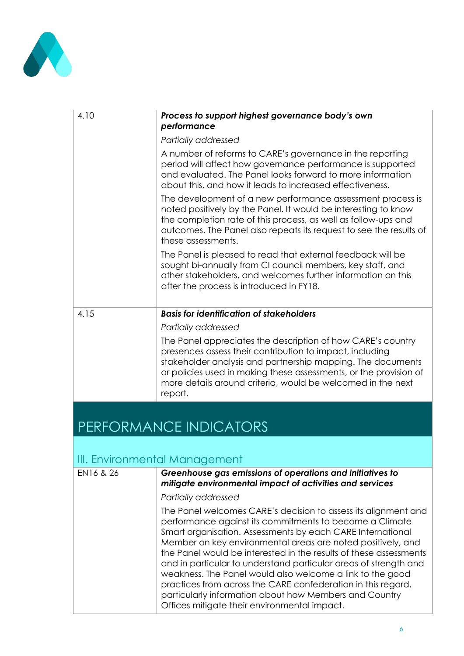

| 4.10 | Process to support highest governance body's own<br>performance                                                                                                                                                                                                                                                                       |
|------|---------------------------------------------------------------------------------------------------------------------------------------------------------------------------------------------------------------------------------------------------------------------------------------------------------------------------------------|
|      | Partially addressed                                                                                                                                                                                                                                                                                                                   |
|      | A number of reforms to CARE's governance in the reporting<br>period will affect how governance performance is supported<br>and evaluated. The Panel looks forward to more information<br>about this, and how it leads to increased effectiveness.                                                                                     |
|      | The development of a new performance assessment process is<br>noted positively by the Panel. It would be interesting to know<br>the completion rate of this process, as well as follow-ups and<br>outcomes. The Panel also repeats its request to see the results of<br>these assessments.                                            |
|      | The Panel is pleased to read that external feedback will be<br>sought bi-annually from CI council members, key staff, and<br>other stakeholders, and welcomes further information on this<br>after the process is introduced in FY18.                                                                                                 |
| 4.15 | <b>Basis for identification of stakeholders</b>                                                                                                                                                                                                                                                                                       |
|      | Partially addressed                                                                                                                                                                                                                                                                                                                   |
|      | The Panel appreciates the description of how CARE's country<br>presences assess their contribution to impact, including<br>stakeholder analysis and partnership mapping. The documents<br>or policies used in making these assessments, or the provision of<br>more details around criteria, would be welcomed in the next<br>report. |

# PERFORMANCE INDICATORS

### III. Environmental Management

| EN16 & 26 | Greenhouse gas emissions of operations and initiatives to<br>mitigate environmental impact of activities and services                                                                                                                                                                                                                                                                                                                                                                                                                                                                                                                  |  |
|-----------|----------------------------------------------------------------------------------------------------------------------------------------------------------------------------------------------------------------------------------------------------------------------------------------------------------------------------------------------------------------------------------------------------------------------------------------------------------------------------------------------------------------------------------------------------------------------------------------------------------------------------------------|--|
|           | Partially addressed                                                                                                                                                                                                                                                                                                                                                                                                                                                                                                                                                                                                                    |  |
|           | The Panel welcomes CARE's decision to assess its alignment and<br>performance against its commitments to become a Climate<br>Smart organisation. Assessments by each CARE International<br>Member on key environmental areas are noted positively, and<br>the Panel would be interested in the results of these assessments<br>and in particular to understand particular areas of strength and<br>weakness. The Panel would also welcome a link to the good<br>practices from across the CARE confederation in this regard,<br>particularly information about how Members and Country<br>Offices mitigate their environmental impact. |  |